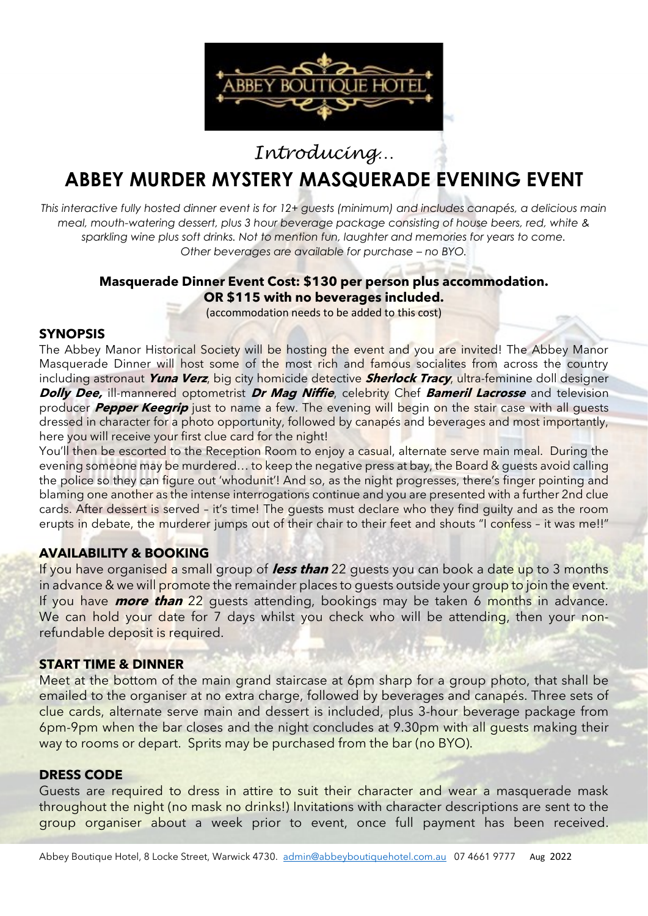

*Introducing…*

# **ABBEY MURDER MYSTERY MASQUERADE EVENING EVENT**

*This interactive fully hosted dinner event is for 12+ guests (minimum) and includes canapés, a delicious main meal, mouth-watering dessert, plus 3 hour beverage package consisting of house beers, red, white & sparkling wine plus soft drinks. Not to mention fun, laughter and memories for years to come. Other beverages are available for purchase - no BYO.* 

### **Masquerade Dinner Event Cost: \$130 per person plus accommodation. OR \$115 with no beverages included.**

(accommodation needs to be added to this cost)

### **SYNOPSIS**

The Abbey Manor Historical Society will be hosting the event and you are invited! The Abbey Manor Masquerade Dinner will host some of the most rich and famous socialites from across the country including astronaut **Yuna Verz**, big city homicide detective **Sherlock Tracy**, ultra-feminine doll designer **Dolly Dee,** ill-mannered optometrist **Dr Mag Niffie**, celebrity Chef **Bameril Lacrosse** and television producer **Pepper Keegrip** just to name a few. The evening will begin on the stair case with all guests dressed in character for a photo opportunity, followed by canapés and beverages and most importantly, here you will receive your first clue card for the night!

You'll then be escorted to the Reception Room to enjoy a casual, alternate serve main meal. During the evening someone may be murdered... to keep the negative press at bay, the Board & guests avoid calling the police so they can figure out 'whodunit'! And so, as the night progresses, there's finger pointing and blaming one another as the intense interrogations continue and you are presented with a further 2nd clue cards. After dessert is served – it's time! The guests must declare who they find guilty and as the room erupts in debate, the murderer jumps out of their chair to their feet and shouts "I confess - it was me!!"

### **AVAILABILITY & BOOKING**

If you have organised a small group of **less than** 22 guests you can book a date up to 3 months in advance & we will promote the remainder places to guests outside your group to join the event. If you have **more than** 22 guests attending, bookings may be taken 6 months in advance. We can hold your date for 7 days whilst you check who will be attending, then your nonrefundable deposit is required.

### **START TIME & DINNER**

Meet at the bottom of the main grand staircase at 6pm sharp for a group photo, that shall be emailed to the organiser at no extra charge, followed by beverages and canapés. Three sets of clue cards, alternate serve main and dessert is included, plus 3-hour beverage package from 6pm-9pm when the bar closes and the night concludes at 9.30pm with all guests making their way to rooms or depart. Sprits may be purchased from the bar (no BYO).

### **DRESS CODE**

Guests are required to dress in attire to suit their character and wear a masquerade mask throughout the night (no mask no drinks!) Invitations with character descriptions are sent to the group organiser about a week prior to event, once full payment has been received.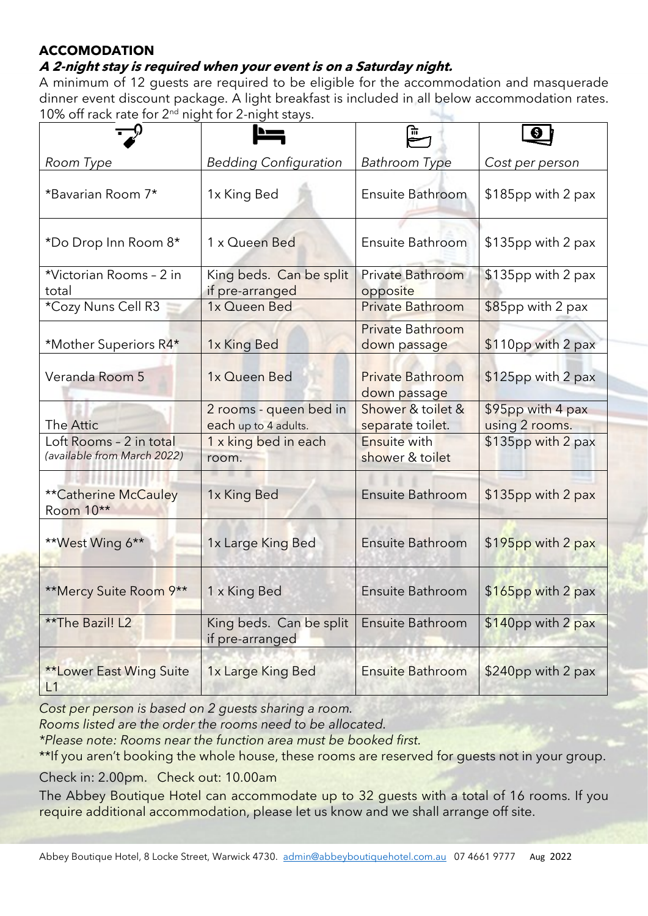# **ACCOMODATION**

# **A 2-night stay is required when your event is on a Saturday night.**

A minimum of 12 guests are required to be eligible for the accommodation and masquerade dinner event discount package. A light breakfast is included in all below accommodation rates. 10% off rack rate for  $2<sup>nd</sup>$  night for 2-night stays.

|                                                        |                                                | 而                                       |                                     |
|--------------------------------------------------------|------------------------------------------------|-----------------------------------------|-------------------------------------|
| Room Type                                              | <b>Bedding Configuration</b>                   | <b>Bathroom Type</b>                    | Cost per person                     |
| *Bavarian Room 7*                                      | 1x King Bed                                    | Ensuite Bathroom                        | $$185$ pp with 2 pax                |
| *Do Drop Inn Room 8*                                   | 1 x Queen Bed                                  | Ensuite Bathroom                        | \$135pp with 2 pax                  |
| *Victorian Rooms - 2 in<br>total                       | King beds. Can be split<br>if pre-arranged     | Private Bathroom<br>opposite            | $$135pp$ with 2 pax                 |
| *Cozy Nuns Cell R3                                     | 1x Queen Bed                                   | <b>Private Bathroom</b>                 | $$85$ pp with 2 pax                 |
| *Mother Superiors R4*                                  | 1x King Bed                                    | <b>Private Bathroom</b><br>down passage | $$110pp$ with 2 pax                 |
| Veranda Room 5                                         | 1x Queen Bed                                   | <b>Private Bathroom</b><br>down passage | $$125pp$ with 2 pax                 |
| The Attic                                              | 2 rooms - queen bed in<br>each up to 4 adults. | Shower & toilet &<br>separate toilet.   | \$95pp with 4 pax<br>using 2 rooms. |
| Loft Rooms - 2 in total<br>(available from March 2022) | 1 x king bed in each<br>room.                  | <b>Ensuite with</b><br>shower & toilet  | $$135pp$ with 2 pax                 |
| <b>**Catherine McCauley</b><br>Room 10**               | 1x King Bed                                    | <b>Ensuite Bathroom</b>                 | \$135pp with 2 pax                  |
| **West Wing 6**                                        | 1x Large King Bed                              | Ensuite Bathroom                        | \$195pp with 2 pax                  |
| **Mercy Suite Room 9**                                 | 1 x King Bed                                   | Ensuite Bathroom                        | $$165$ pp with 2 pax                |
| **The Bazil! L2                                        | King beds. Can be split<br>if pre-arranged     | <b>Ensuite Bathroom</b>                 | \$140pp with 2 pax                  |
| <b>**Lower East Wing Suite</b><br>L1                   | 1x Large King Bed                              | <b>Ensuite Bathroom</b>                 | \$240pp with 2 pax                  |

*Cost per person is based on 2 guests sharing a room.*

*Rooms listed are the order the rooms need to be allocated.*

*\*Please note: Rooms near the function area must be booked first.*

\*\*If you aren't booking the whole house, these rooms are reserved for quests not in your group.

Check in: 2.00pm. Check out: 10.00am

The Abbey Boutique Hotel can accommodate up to 32 guests with a total of 16 rooms. If you require additional accommodation, please let us know and we shall arrange off site.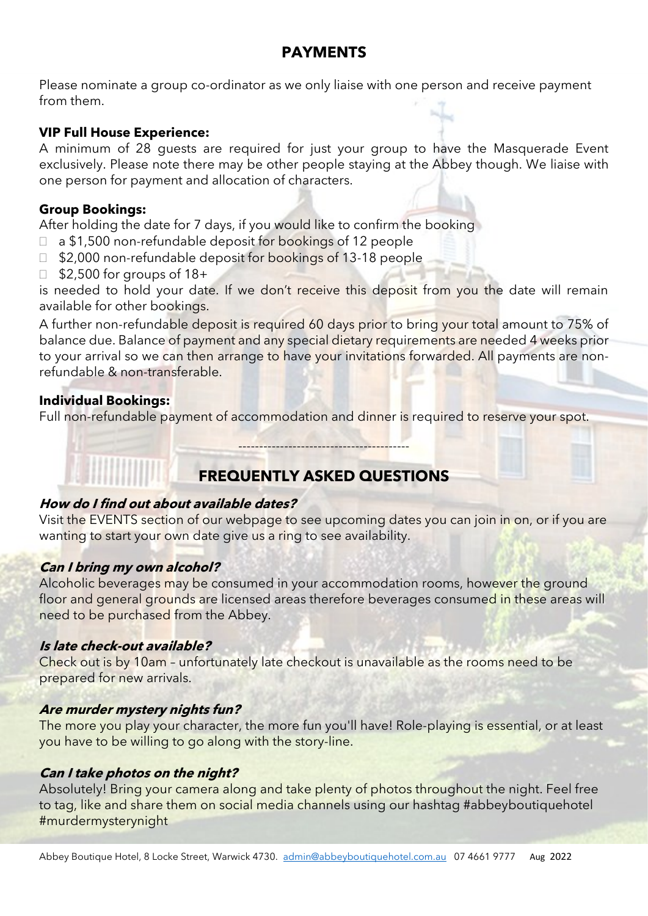# **PAYMENTS**

Please nominate a group co-ordinator as we only liaise with one person and receive payment from them.

# **VIP Full House Experience:**

A minimum of 28 guests are required for just your group to have the Masquerade Event exclusively. Please note there may be other people staying at the Abbey though. We liaise with one person for payment and allocation of characters.

# **Group Bookings:**

After holding the date for 7 days, if you would like to confirm the booking

- □ a \$1,500 non-refundable deposit for bookings of 12 people
- □ \$2,000 non-refundable deposit for bookings of 13-18 people
- $\Box$  \$2,500 for groups of 18+

is needed to hold your date. If we don't receive this deposit from you the date will remain available for other bookings.

A further non-refundable deposit is required 60 days prior to bring your total amount to 75% of balance due. Balance of payment and any special dietary requirements are needed 4 weeks prior to your arrival so we can then arrange to have your invitations forwarded. All payments are nonrefundable & non-transferable.

### **Individual Bookings:**

Full non-refundable payment of accommodation and dinner is required to reserve your spot.

# **FREQUENTLY ASKED QUESTIONS**

-----------------------------------------

# **How do I find out about available dates?**

Visit the EVENTS section of our webpage to see upcoming dates you can join in on, or if you are wanting to start your own date give us a ring to see availability.

# **Can I bring my own alcohol?**

Alcoholic beverages may be consumed in your accommodation rooms, however the ground floor and general grounds are licensed areas therefore beverages consumed in these areas will need to be purchased from the Abbey.

# **Is late check-out available?**

Check out is by 10am – unfortunately late checkout is unavailable as the rooms need to be prepared for new arrivals.

# **Are murder mystery nights fun?**

The more you play your character, the more fun you'll have! Role-playing is essential, or at least you have to be willing to go along with the story-line.

# **Can I take photos on the night?**

Absolutely! Bring your camera along and take plenty of photos throughout the night. Feel free to tag, like and share them on social media channels using our hashtag #abbeyboutiquehotel #murdermysterynight